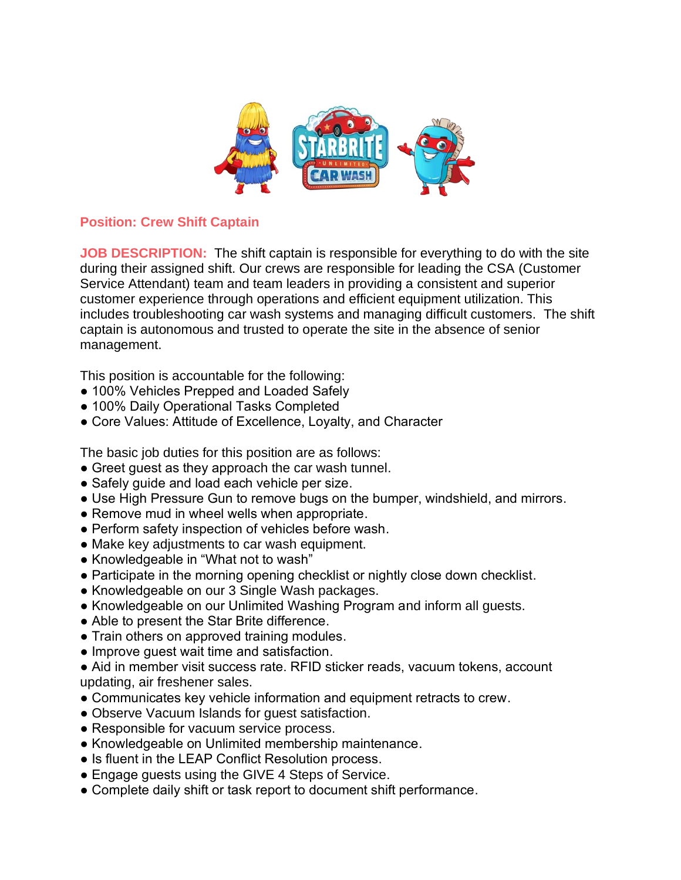

## **Position: Crew Shift Captain**

**JOB DESCRIPTION:** The shift captain is responsible for everything to do with the site during their assigned shift. Our crews are responsible for leading the CSA (Customer Service Attendant) team and team leaders in providing a consistent and superior customer experience through operations and efficient equipment utilization. This includes troubleshooting car wash systems and managing difficult customers. The shift captain is autonomous and trusted to operate the site in the absence of senior management.

This position is accountable for the following:

- 100% Vehicles Prepped and Loaded Safely
- 100% Daily Operational Tasks Completed
- Core Values: Attitude of Excellence, Loyalty, and Character

The basic job duties for this position are as follows:

- Greet guest as they approach the car wash tunnel.
- Safely guide and load each vehicle per size.
- Use High Pressure Gun to remove bugs on the bumper, windshield, and mirrors.
- Remove mud in wheel wells when appropriate.
- Perform safety inspection of vehicles before wash.
- Make key adjustments to car wash equipment.
- Knowledgeable in "What not to wash"
- Participate in the morning opening checklist or nightly close down checklist.
- Knowledgeable on our 3 Single Wash packages.
- Knowledgeable on our Unlimited Washing Program and inform all quests.
- Able to present the Star Brite difference.
- Train others on approved training modules.
- Improve guest wait time and satisfaction.

● Aid in member visit success rate. RFID sticker reads, vacuum tokens, account updating, air freshener sales.

- Communicates key vehicle information and equipment retracts to crew.
- Observe Vacuum Islands for quest satisfaction.
- Responsible for vacuum service process.
- Knowledgeable on Unlimited membership maintenance.
- Is fluent in the LEAP Conflict Resolution process.
- Engage guests using the GIVE 4 Steps of Service.
- Complete daily shift or task report to document shift performance.